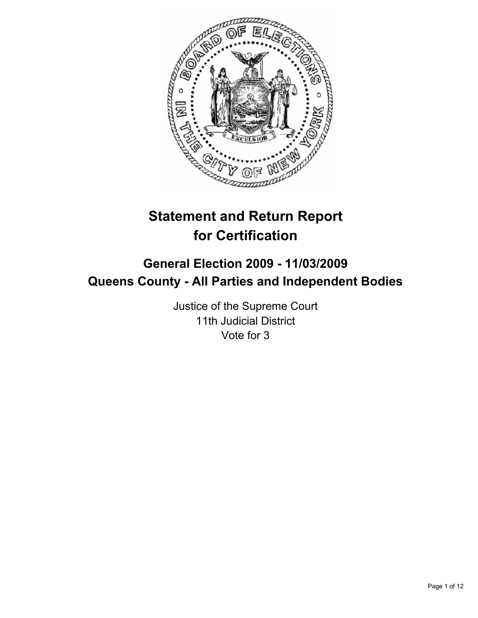

# **Statement and Return Report for Certification**

# **General Election 2009 - 11/03/2009 Queens County - All Parties and Independent Bodies**

Justice of the Supreme Court 11th Judicial District Vote for 3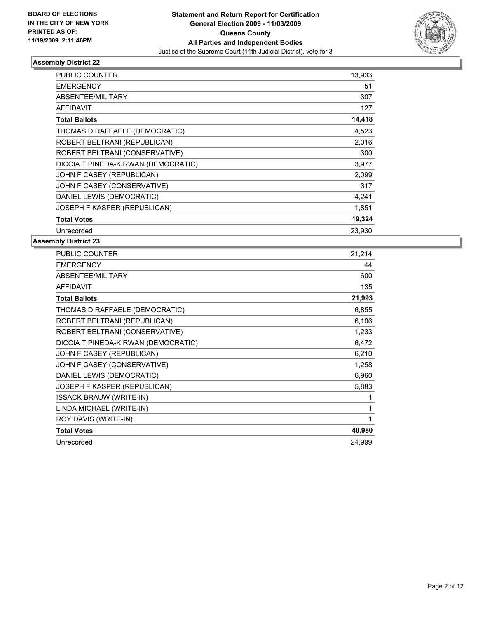

| <b>PUBLIC COUNTER</b>               | 13,933 |
|-------------------------------------|--------|
| <b>EMERGENCY</b>                    | 51     |
| ABSENTEE/MILITARY                   | 307    |
| <b>AFFIDAVIT</b>                    | 127    |
| <b>Total Ballots</b>                | 14,418 |
| THOMAS D RAFFAELE (DEMOCRATIC)      | 4,523  |
| ROBERT BELTRANI (REPUBLICAN)        | 2,016  |
| ROBERT BELTRANI (CONSERVATIVE)      | 300    |
| DICCIA T PINEDA-KIRWAN (DEMOCRATIC) | 3,977  |
| JOHN F CASEY (REPUBLICAN)           | 2,099  |
| JOHN F CASEY (CONSERVATIVE)         | 317    |
| DANIEL LEWIS (DEMOCRATIC)           | 4,241  |
| JOSEPH F KASPER (REPUBLICAN)        | 1,851  |
| <b>Total Votes</b>                  | 19,324 |
| Unrecorded                          | 23.930 |

| PUBLIC COUNTER                      | 21,214 |
|-------------------------------------|--------|
| <b>EMERGENCY</b>                    | 44     |
| ABSENTEE/MILITARY                   | 600    |
| <b>AFFIDAVIT</b>                    | 135    |
| <b>Total Ballots</b>                | 21,993 |
| THOMAS D RAFFAELE (DEMOCRATIC)      | 6,855  |
| ROBERT BELTRANI (REPUBLICAN)        | 6,106  |
| ROBERT BELTRANI (CONSERVATIVE)      | 1,233  |
| DICCIA T PINEDA-KIRWAN (DEMOCRATIC) | 6,472  |
| JOHN F CASEY (REPUBLICAN)           | 6,210  |
| JOHN F CASEY (CONSERVATIVE)         | 1,258  |
| DANIEL LEWIS (DEMOCRATIC)           | 6,960  |
| JOSEPH F KASPER (REPUBLICAN)        | 5,883  |
| <b>ISSACK BRAUW (WRITE-IN)</b>      | 1      |
| LINDA MICHAEL (WRITE-IN)            | 1      |
| ROY DAVIS (WRITE-IN)                | 1      |
| <b>Total Votes</b>                  | 40,980 |
| Unrecorded                          | 24.999 |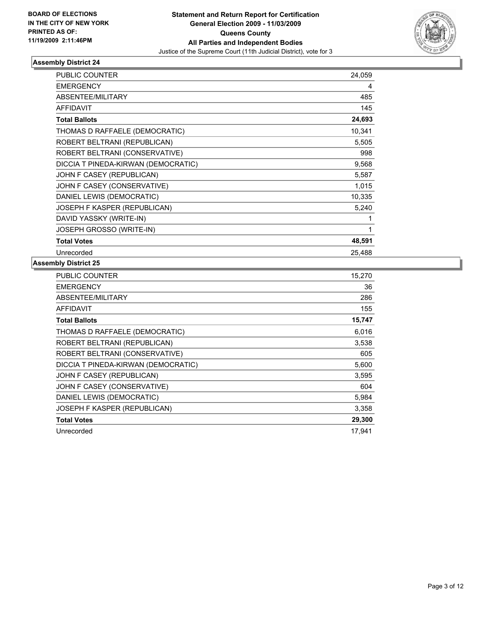

| <b>PUBLIC COUNTER</b>               | 24,059 |
|-------------------------------------|--------|
| <b>EMERGENCY</b>                    | 4      |
| ABSENTEE/MILITARY                   | 485    |
| <b>AFFIDAVIT</b>                    | 145    |
| <b>Total Ballots</b>                | 24,693 |
| THOMAS D RAFFAELE (DEMOCRATIC)      | 10,341 |
| ROBERT BELTRANI (REPUBLICAN)        | 5,505  |
| ROBERT BELTRANI (CONSERVATIVE)      | 998    |
| DICCIA T PINEDA-KIRWAN (DEMOCRATIC) | 9,568  |
| JOHN F CASEY (REPUBLICAN)           | 5,587  |
| JOHN F CASEY (CONSERVATIVE)         | 1,015  |
| DANIEL LEWIS (DEMOCRATIC)           | 10,335 |
| JOSEPH F KASPER (REPUBLICAN)        | 5,240  |
| DAVID YASSKY (WRITE-IN)             |        |
| JOSEPH GROSSO (WRITE-IN)            | 1      |
| <b>Total Votes</b>                  | 48,591 |
| Unrecorded                          | 25,488 |

| <b>PUBLIC COUNTER</b>               | 15,270 |
|-------------------------------------|--------|
| <b>EMERGENCY</b>                    | 36     |
| ABSENTEE/MILITARY                   | 286    |
| <b>AFFIDAVIT</b>                    | 155    |
| <b>Total Ballots</b>                | 15,747 |
| THOMAS D RAFFAELE (DEMOCRATIC)      | 6,016  |
| ROBERT BELTRANI (REPUBLICAN)        | 3,538  |
| ROBERT BELTRANI (CONSERVATIVE)      | 605    |
| DICCIA T PINEDA-KIRWAN (DEMOCRATIC) | 5,600  |
| JOHN F CASEY (REPUBLICAN)           | 3,595  |
| JOHN F CASEY (CONSERVATIVE)         | 604    |
| DANIEL LEWIS (DEMOCRATIC)           | 5,984  |
| JOSEPH F KASPER (REPUBLICAN)        | 3,358  |
| <b>Total Votes</b>                  | 29,300 |
| Unrecorded                          | 17,941 |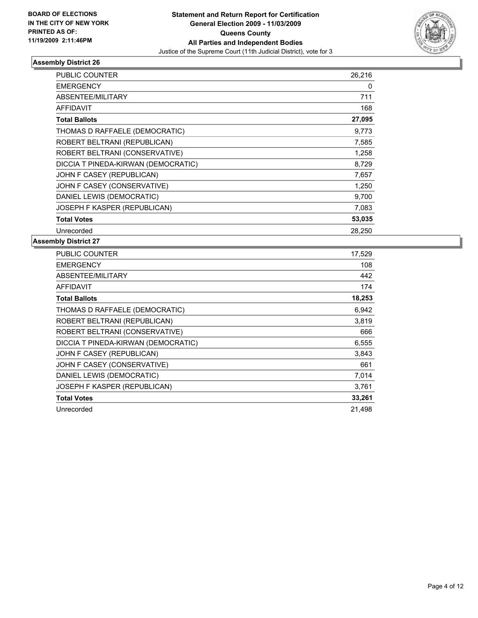

| <b>PUBLIC COUNTER</b>               | 26,216 |
|-------------------------------------|--------|
| <b>EMERGENCY</b>                    | 0      |
| ABSENTEE/MILITARY                   | 711    |
| <b>AFFIDAVIT</b>                    | 168    |
| <b>Total Ballots</b>                | 27,095 |
| THOMAS D RAFFAELE (DEMOCRATIC)      | 9,773  |
| ROBERT BELTRANI (REPUBLICAN)        | 7,585  |
| ROBERT BELTRANI (CONSERVATIVE)      | 1,258  |
| DICCIA T PINEDA-KIRWAN (DEMOCRATIC) | 8,729  |
| JOHN F CASEY (REPUBLICAN)           | 7,657  |
| JOHN F CASEY (CONSERVATIVE)         | 1,250  |
| DANIEL LEWIS (DEMOCRATIC)           | 9,700  |
| JOSEPH F KASPER (REPUBLICAN)        | 7,083  |
| <b>Total Votes</b>                  | 53,035 |
| Unrecorded                          | 28.250 |

| PUBLIC COUNTER                      | 17,529 |
|-------------------------------------|--------|
| <b>EMERGENCY</b>                    | 108    |
| ABSENTEE/MILITARY                   | 442    |
| <b>AFFIDAVIT</b>                    | 174    |
| <b>Total Ballots</b>                | 18,253 |
| THOMAS D RAFFAELE (DEMOCRATIC)      | 6,942  |
| ROBERT BELTRANI (REPUBLICAN)        | 3,819  |
| ROBERT BELTRANI (CONSERVATIVE)      | 666    |
| DICCIA T PINEDA-KIRWAN (DEMOCRATIC) | 6,555  |
| JOHN F CASEY (REPUBLICAN)           | 3,843  |
| JOHN F CASEY (CONSERVATIVE)         | 661    |
| DANIEL LEWIS (DEMOCRATIC)           | 7,014  |
| JOSEPH F KASPER (REPUBLICAN)        | 3,761  |
| <b>Total Votes</b>                  | 33,261 |
| Unrecorded                          | 21,498 |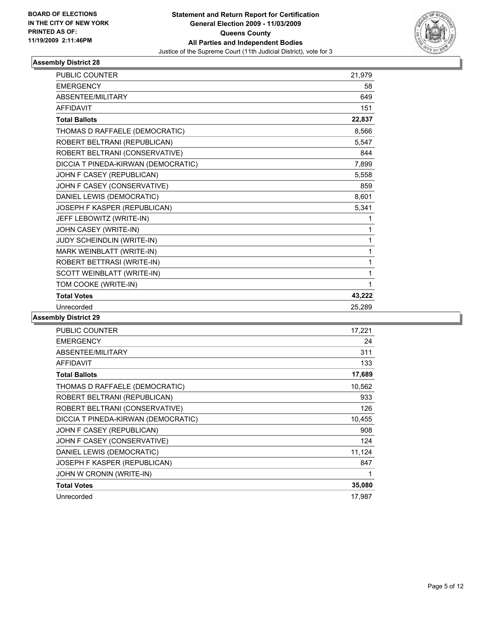

| PUBLIC COUNTER                      | 21,979 |
|-------------------------------------|--------|
| <b>EMERGENCY</b>                    | 58     |
| <b>ABSENTEE/MILITARY</b>            | 649    |
| <b>AFFIDAVIT</b>                    | 151    |
| <b>Total Ballots</b>                | 22,837 |
| THOMAS D RAFFAELE (DEMOCRATIC)      | 8,566  |
| ROBERT BELTRANI (REPUBLICAN)        | 5,547  |
| ROBERT BELTRANI (CONSERVATIVE)      | 844    |
| DICCIA T PINEDA-KIRWAN (DEMOCRATIC) | 7,899  |
| JOHN F CASEY (REPUBLICAN)           | 5,558  |
| JOHN F CASEY (CONSERVATIVE)         | 859    |
| DANIEL LEWIS (DEMOCRATIC)           | 8,601  |
| JOSEPH F KASPER (REPUBLICAN)        | 5,341  |
| JEFF LEBOWITZ (WRITE-IN)            | 1      |
| JOHN CASEY (WRITE-IN)               | 1      |
| JUDY SCHEINDLIN (WRITE-IN)          | 1      |
| MARK WEINBLATT (WRITE-IN)           | 1      |
| ROBERT BETTRASI (WRITE-IN)          | 1      |
| SCOTT WEINBLATT (WRITE-IN)          | 1      |
| TOM COOKE (WRITE-IN)                | 1      |
| <b>Total Votes</b>                  | 43,222 |
| Unrecorded                          | 25.289 |

| <b>PUBLIC COUNTER</b>               | 17,221 |
|-------------------------------------|--------|
| <b>EMERGENCY</b>                    | 24     |
| ABSENTEE/MILITARY                   | 311    |
| <b>AFFIDAVIT</b>                    | 133    |
| <b>Total Ballots</b>                | 17,689 |
| THOMAS D RAFFAELE (DEMOCRATIC)      | 10,562 |
| ROBERT BELTRANI (REPUBLICAN)        | 933    |
| ROBERT BELTRANI (CONSERVATIVE)      | 126    |
| DICCIA T PINEDA-KIRWAN (DEMOCRATIC) | 10,455 |
| JOHN F CASEY (REPUBLICAN)           | 908    |
| JOHN F CASEY (CONSERVATIVE)         | 124    |
| DANIEL LEWIS (DEMOCRATIC)           | 11,124 |
| <b>JOSEPH F KASPER (REPUBLICAN)</b> | 847    |
| JOHN W CRONIN (WRITE-IN)            | 1      |
| <b>Total Votes</b>                  | 35,080 |
| Unrecorded                          | 17,987 |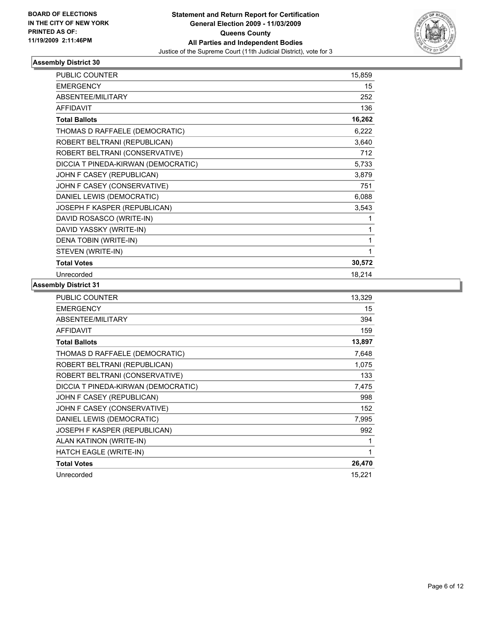

| <b>PUBLIC COUNTER</b>               | 15,859 |
|-------------------------------------|--------|
| <b>EMERGENCY</b>                    | 15     |
| ABSENTEE/MILITARY                   | 252    |
| <b>AFFIDAVIT</b>                    | 136    |
| <b>Total Ballots</b>                | 16,262 |
| THOMAS D RAFFAELE (DEMOCRATIC)      | 6,222  |
| ROBERT BELTRANI (REPUBLICAN)        | 3,640  |
| ROBERT BELTRANI (CONSERVATIVE)      | 712    |
| DICCIA T PINEDA-KIRWAN (DEMOCRATIC) | 5,733  |
| JOHN F CASEY (REPUBLICAN)           | 3,879  |
| JOHN F CASEY (CONSERVATIVE)         | 751    |
| DANIEL LEWIS (DEMOCRATIC)           | 6,088  |
| JOSEPH F KASPER (REPUBLICAN)        | 3,543  |
| DAVID ROSASCO (WRITE-IN)            | 1      |
| DAVID YASSKY (WRITE-IN)             | 1      |
| DENA TOBIN (WRITE-IN)               | 1      |
| STEVEN (WRITE-IN)                   | 1      |
| <b>Total Votes</b>                  | 30,572 |
| Unrecorded                          | 18,214 |

| <b>PUBLIC COUNTER</b>               | 13,329 |
|-------------------------------------|--------|
| <b>EMERGENCY</b>                    | 15     |
| ABSENTEE/MILITARY                   | 394    |
| <b>AFFIDAVIT</b>                    | 159    |
| <b>Total Ballots</b>                | 13,897 |
| THOMAS D RAFFAELE (DEMOCRATIC)      | 7,648  |
| ROBERT BELTRANI (REPUBLICAN)        | 1,075  |
| ROBERT BELTRANI (CONSERVATIVE)      | 133    |
| DICCIA T PINEDA-KIRWAN (DEMOCRATIC) | 7,475  |
| JOHN F CASEY (REPUBLICAN)           | 998    |
| JOHN F CASEY (CONSERVATIVE)         | 152    |
| DANIEL LEWIS (DEMOCRATIC)           | 7,995  |
| JOSEPH F KASPER (REPUBLICAN)        | 992    |
| ALAN KATINON (WRITE-IN)             | 1      |
| HATCH EAGLE (WRITE-IN)              | 1      |
| <b>Total Votes</b>                  | 26,470 |
| Unrecorded                          | 15,221 |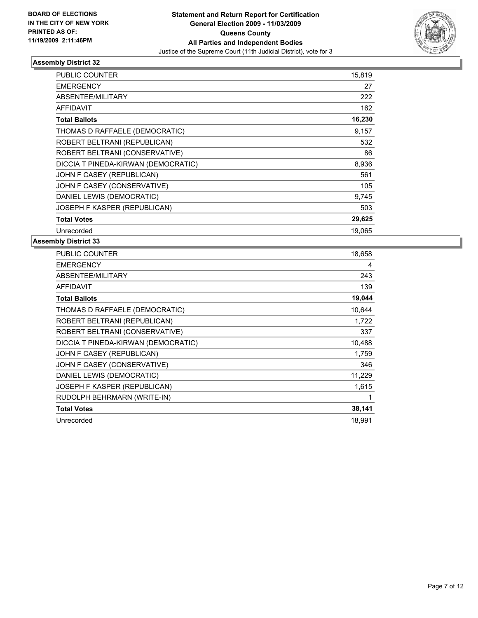

| <b>PUBLIC COUNTER</b>               | 15,819 |
|-------------------------------------|--------|
| <b>EMERGENCY</b>                    | 27     |
| ABSENTEE/MILITARY                   | 222    |
| <b>AFFIDAVIT</b>                    | 162    |
| <b>Total Ballots</b>                | 16,230 |
| THOMAS D RAFFAELE (DEMOCRATIC)      | 9,157  |
| ROBERT BELTRANI (REPUBLICAN)        | 532    |
| ROBERT BELTRANI (CONSERVATIVE)      | 86     |
| DICCIA T PINEDA-KIRWAN (DEMOCRATIC) | 8,936  |
| JOHN F CASEY (REPUBLICAN)           | 561    |
| JOHN F CASEY (CONSERVATIVE)         | 105    |
| DANIEL LEWIS (DEMOCRATIC)           | 9,745  |
| JOSEPH F KASPER (REPUBLICAN)        | 503    |
| <b>Total Votes</b>                  | 29,625 |
| Unrecorded                          | 19.065 |

| <b>PUBLIC COUNTER</b>               | 18,658 |
|-------------------------------------|--------|
| <b>EMERGENCY</b>                    | 4      |
| ABSENTEE/MILITARY                   | 243    |
| <b>AFFIDAVIT</b>                    | 139    |
| <b>Total Ballots</b>                | 19,044 |
| THOMAS D RAFFAELE (DEMOCRATIC)      | 10,644 |
| ROBERT BELTRANI (REPUBLICAN)        | 1,722  |
| ROBERT BELTRANI (CONSERVATIVE)      | 337    |
| DICCIA T PINEDA-KIRWAN (DEMOCRATIC) | 10,488 |
| JOHN F CASEY (REPUBLICAN)           | 1,759  |
| JOHN F CASEY (CONSERVATIVE)         | 346    |
| DANIEL LEWIS (DEMOCRATIC)           | 11,229 |
| JOSEPH F KASPER (REPUBLICAN)        | 1,615  |
| RUDOLPH BEHRMARN (WRITE-IN)         | 1      |
| <b>Total Votes</b>                  | 38,141 |
| Unrecorded                          | 18.991 |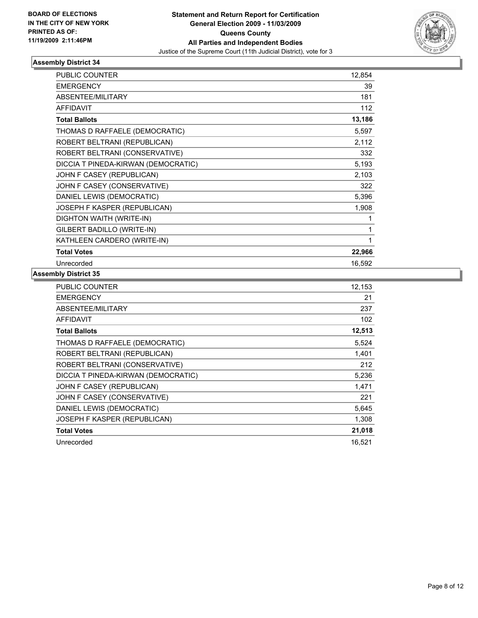

| <b>PUBLIC COUNTER</b>               | 12,854 |
|-------------------------------------|--------|
| <b>EMERGENCY</b>                    | 39     |
| <b>ABSENTEE/MILITARY</b>            | 181    |
| <b>AFFIDAVIT</b>                    | 112    |
| <b>Total Ballots</b>                | 13,186 |
| THOMAS D RAFFAELE (DEMOCRATIC)      | 5,597  |
| ROBERT BELTRANI (REPUBLICAN)        | 2,112  |
| ROBERT BELTRANI (CONSERVATIVE)      | 332    |
| DICCIA T PINEDA-KIRWAN (DEMOCRATIC) | 5,193  |
| JOHN F CASEY (REPUBLICAN)           | 2,103  |
| JOHN F CASEY (CONSERVATIVE)         | 322    |
| DANIEL LEWIS (DEMOCRATIC)           | 5,396  |
| JOSEPH F KASPER (REPUBLICAN)        | 1,908  |
| DIGHTON WAITH (WRITE-IN)            | 1      |
| GILBERT BADILLO (WRITE-IN)          | 1      |
| KATHLEEN CARDERO (WRITE-IN)         | 1      |
| <b>Total Votes</b>                  | 22,966 |
| Unrecorded                          | 16,592 |

| <b>PUBLIC COUNTER</b>               | 12,153 |
|-------------------------------------|--------|
| <b>EMERGENCY</b>                    | 21     |
| ABSENTEE/MILITARY                   | 237    |
| <b>AFFIDAVIT</b>                    | 102    |
| <b>Total Ballots</b>                | 12,513 |
| THOMAS D RAFFAELE (DEMOCRATIC)      | 5,524  |
| ROBERT BELTRANI (REPUBLICAN)        | 1,401  |
| ROBERT BELTRANI (CONSERVATIVE)      | 212    |
| DICCIA T PINEDA-KIRWAN (DEMOCRATIC) | 5,236  |
| JOHN F CASEY (REPUBLICAN)           | 1,471  |
| JOHN F CASEY (CONSERVATIVE)         | 221    |
| DANIEL LEWIS (DEMOCRATIC)           | 5,645  |
| JOSEPH F KASPER (REPUBLICAN)        | 1,308  |
| <b>Total Votes</b>                  | 21,018 |
| Unrecorded                          | 16,521 |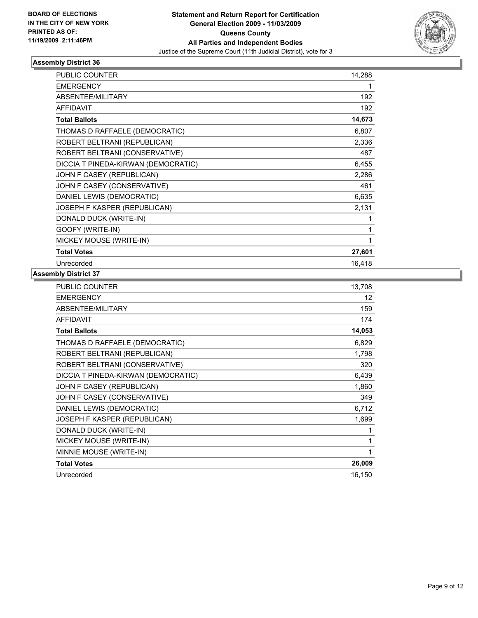

| <b>PUBLIC COUNTER</b>               | 14,288 |
|-------------------------------------|--------|
| <b>EMERGENCY</b>                    |        |
| ABSENTEE/MILITARY                   | 192    |
| <b>AFFIDAVIT</b>                    | 192    |
| <b>Total Ballots</b>                | 14,673 |
| THOMAS D RAFFAELE (DEMOCRATIC)      | 6,807  |
| ROBERT BELTRANI (REPUBLICAN)        | 2,336  |
| ROBERT BELTRANI (CONSERVATIVE)      | 487    |
| DICCIA T PINEDA-KIRWAN (DEMOCRATIC) | 6,455  |
| JOHN F CASEY (REPUBLICAN)           | 2,286  |
| JOHN F CASEY (CONSERVATIVE)         | 461    |
| DANIEL LEWIS (DEMOCRATIC)           | 6,635  |
| JOSEPH F KASPER (REPUBLICAN)        | 2,131  |
| DONALD DUCK (WRITE-IN)              |        |
| GOOFY (WRITE-IN)                    |        |
| MICKEY MOUSE (WRITE-IN)             |        |
| <b>Total Votes</b>                  | 27,601 |
| Unrecorded                          | 16,418 |

| <b>PUBLIC COUNTER</b>               | 13,708 |
|-------------------------------------|--------|
| <b>EMERGENCY</b>                    | 12     |
| ABSENTEE/MILITARY                   | 159    |
| <b>AFFIDAVIT</b>                    | 174    |
| <b>Total Ballots</b>                | 14,053 |
| THOMAS D RAFFAELE (DEMOCRATIC)      | 6,829  |
| ROBERT BELTRANI (REPUBLICAN)        | 1,798  |
| ROBERT BELTRANI (CONSERVATIVE)      | 320    |
| DICCIA T PINEDA-KIRWAN (DEMOCRATIC) | 6,439  |
| JOHN F CASEY (REPUBLICAN)           | 1,860  |
| JOHN F CASEY (CONSERVATIVE)         | 349    |
| DANIEL LEWIS (DEMOCRATIC)           | 6,712  |
| JOSEPH F KASPER (REPUBLICAN)        | 1,699  |
| DONALD DUCK (WRITE-IN)              |        |
| MICKEY MOUSE (WRITE-IN)             | 1      |
| MINNIE MOUSE (WRITE-IN)             | 1      |
| <b>Total Votes</b>                  | 26,009 |
| Unrecorded                          | 16,150 |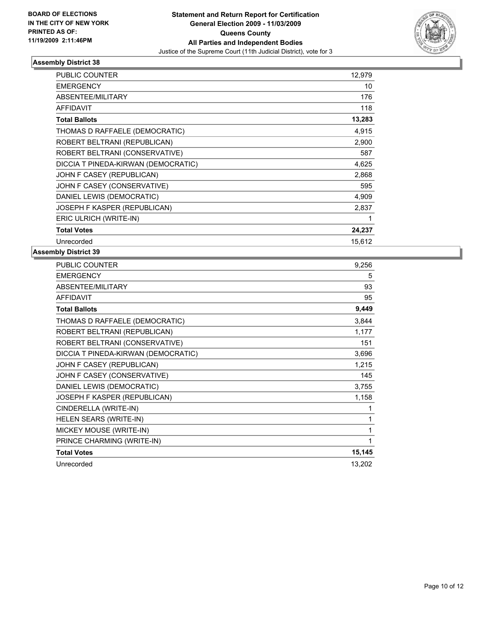

| <b>PUBLIC COUNTER</b>               | 12,979 |
|-------------------------------------|--------|
| <b>EMERGENCY</b>                    | 10     |
| ABSENTEE/MILITARY                   | 176    |
| <b>AFFIDAVIT</b>                    | 118    |
| <b>Total Ballots</b>                | 13,283 |
| THOMAS D RAFFAELE (DEMOCRATIC)      | 4,915  |
| ROBERT BELTRANI (REPUBLICAN)        | 2,900  |
| ROBERT BELTRANI (CONSERVATIVE)      | 587    |
| DICCIA T PINEDA-KIRWAN (DEMOCRATIC) | 4,625  |
| JOHN F CASEY (REPUBLICAN)           | 2,868  |
| JOHN F CASEY (CONSERVATIVE)         | 595    |
| DANIEL LEWIS (DEMOCRATIC)           | 4,909  |
| JOSEPH F KASPER (REPUBLICAN)        | 2,837  |
| ERIC ULRICH (WRITE-IN)              | 1      |
| <b>Total Votes</b>                  | 24,237 |
| Unrecorded                          | 15.612 |

| <b>EMERGENCY</b>                    | 5      |
|-------------------------------------|--------|
|                                     |        |
| ABSENTEE/MILITARY                   | 93     |
| <b>AFFIDAVIT</b>                    | 95     |
| <b>Total Ballots</b>                | 9,449  |
| THOMAS D RAFFAELE (DEMOCRATIC)      | 3,844  |
| ROBERT BELTRANI (REPUBLICAN)        | 1,177  |
| ROBERT BELTRANI (CONSERVATIVE)      | 151    |
| DICCIA T PINEDA-KIRWAN (DEMOCRATIC) | 3,696  |
| JOHN F CASEY (REPUBLICAN)           | 1,215  |
| JOHN F CASEY (CONSERVATIVE)         | 145    |
| DANIEL LEWIS (DEMOCRATIC)           | 3,755  |
| JOSEPH F KASPER (REPUBLICAN)        | 1,158  |
| CINDERELLA (WRITE-IN)               | 1      |
| HELEN SEARS (WRITE-IN)              | 1      |
| MICKEY MOUSE (WRITE-IN)             | 1      |
| PRINCE CHARMING (WRITE-IN)          | 1      |
| <b>Total Votes</b>                  | 15,145 |
| Unrecorded                          | 13,202 |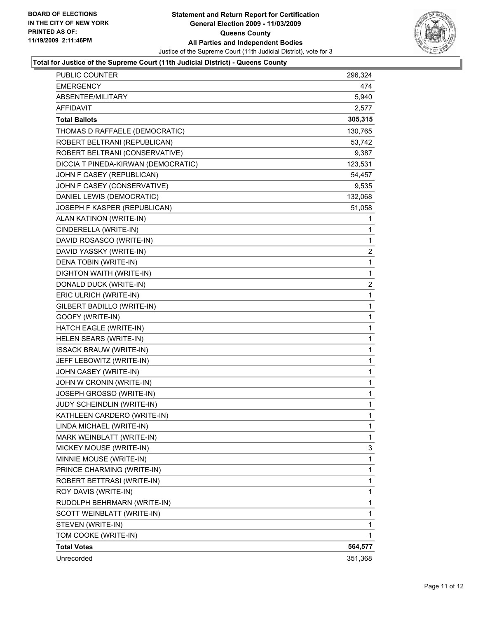

#### **Total for Justice of the Supreme Court (11th Judicial District) - Queens County**

| Unrecorded                          | 351,368 |
|-------------------------------------|---------|
| <b>Total Votes</b>                  | 564,577 |
| TOM COOKE (WRITE-IN)                | 1       |
| STEVEN (WRITE-IN)                   | 1       |
| SCOTT WEINBLATT (WRITE-IN)          | 1       |
| RUDOLPH BEHRMARN (WRITE-IN)         | 1       |
| ROY DAVIS (WRITE-IN)                | 1       |
| ROBERT BETTRASI (WRITE-IN)          | 1       |
| PRINCE CHARMING (WRITE-IN)          | 1       |
| MINNIE MOUSE (WRITE-IN)             | 1       |
| MICKEY MOUSE (WRITE-IN)             | 3       |
| MARK WEINBLATT (WRITE-IN)           | 1       |
| LINDA MICHAEL (WRITE-IN)            | 1       |
| KATHLEEN CARDERO (WRITE-IN)         | 1       |
| JUDY SCHEINDLIN (WRITE-IN)          | 1       |
| JOSEPH GROSSO (WRITE-IN)            | 1       |
| JOHN W CRONIN (WRITE-IN)            | 1       |
| JOHN CASEY (WRITE-IN)               | 1       |
| JEFF LEBOWITZ (WRITE-IN)            | 1       |
| <b>ISSACK BRAUW (WRITE-IN)</b>      | 1       |
| HELEN SEARS (WRITE-IN)              | 1       |
| HATCH EAGLE (WRITE-IN)              | 1       |
| GOOFY (WRITE-IN)                    | 1       |
| GILBERT BADILLO (WRITE-IN)          | 1       |
| ERIC ULRICH (WRITE-IN)              | 1       |
| DONALD DUCK (WRITE-IN)              | 2       |
| DIGHTON WAITH (WRITE-IN)            | 1       |
| DENA TOBIN (WRITE-IN)               | 1       |
| DAVID YASSKY (WRITE-IN)             | 2       |
| DAVID ROSASCO (WRITE-IN)            | 1       |
| CINDERELLA (WRITE-IN)               | 1       |
| ALAN KATINON (WRITE-IN)             | 1       |
| JOSEPH F KASPER (REPUBLICAN)        | 51,058  |
| DANIEL LEWIS (DEMOCRATIC)           | 132,068 |
| JOHN F CASEY (CONSERVATIVE)         | 9,535   |
| JOHN F CASEY (REPUBLICAN)           | 54,457  |
| DICCIA T PINEDA-KIRWAN (DEMOCRATIC) | 123,531 |
| ROBERT BELTRANI (CONSERVATIVE)      | 9,387   |
| ROBERT BELTRANI (REPUBLICAN)        | 53,742  |
| THOMAS D RAFFAELE (DEMOCRATIC)      | 130,765 |
| <b>Total Ballots</b>                | 305,315 |
| <b>AFFIDAVIT</b>                    | 2,577   |
| ABSENTEE/MILITARY                   | 5,940   |
| EMERGENCY                           | 474     |
| PUBLIC COUNTER                      | 296,324 |